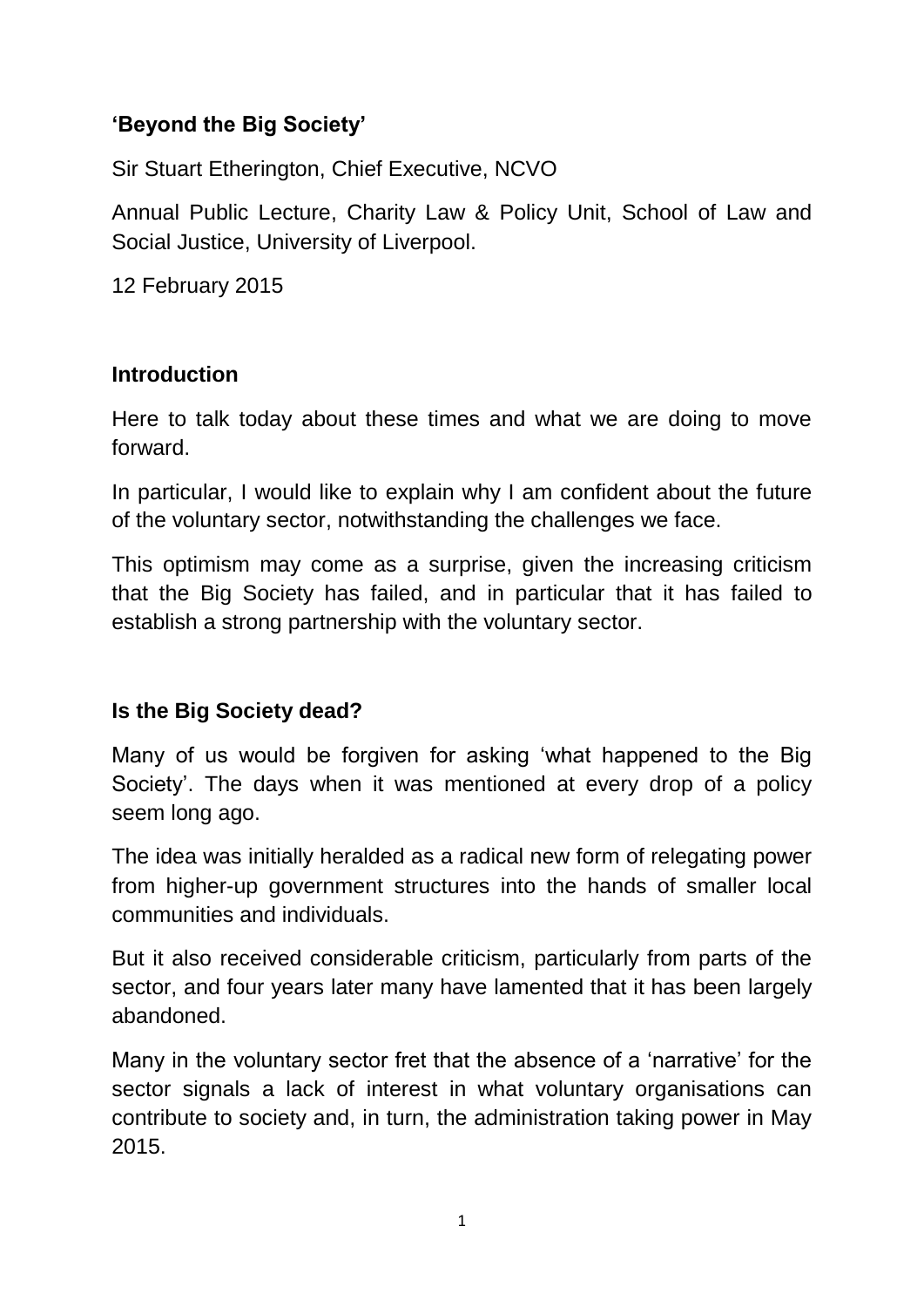## **'Beyond the Big Society'**

Sir Stuart Etherington, Chief Executive, NCVO

Annual Public Lecture, Charity Law & Policy Unit, School of Law and Social Justice, University of Liverpool.

12 February 2015

#### **Introduction**

Here to talk today about these times and what we are doing to move forward.

In particular, I would like to explain why I am confident about the future of the voluntary sector, notwithstanding the challenges we face.

This optimism may come as a surprise, given the increasing criticism that the Big Society has failed, and in particular that it has failed to establish a strong partnership with the voluntary sector.

## **Is the Big Society dead?**

Many of us would be forgiven for asking 'what happened to the Big Society'. The days when it was mentioned at every drop of a policy seem long ago.

The idea was initially heralded as a radical new form of relegating power from higher-up government structures into the hands of smaller local communities and individuals.

But it also received considerable criticism, particularly from parts of the sector, and four years later many have lamented that it has been largely abandoned.

Many in the voluntary sector fret that the absence of a 'narrative' for the sector signals a lack of interest in what voluntary organisations can contribute to society and, in turn, the administration taking power in May 2015.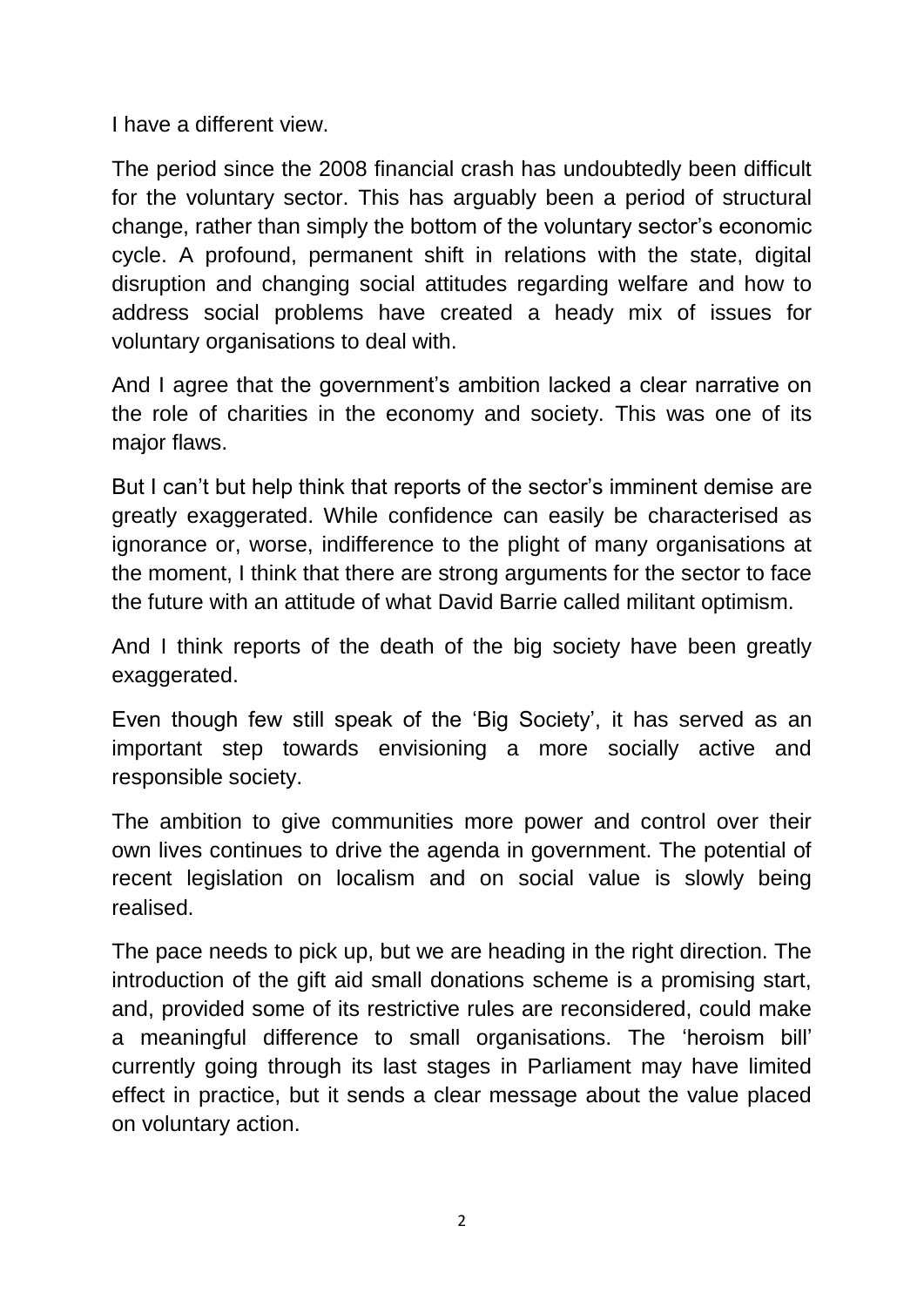I have a different view.

The period since the 2008 financial crash has undoubtedly been difficult for the voluntary sector. This has arguably been a period of structural change, rather than simply the bottom of the voluntary sector's economic cycle. A profound, permanent shift in relations with the state, digital disruption and changing social attitudes regarding welfare and how to address social problems have created a heady mix of issues for voluntary organisations to deal with.

And I agree that the government's ambition lacked a clear narrative on the role of charities in the economy and society. This was one of its major flaws.

But I can't but help think that reports of the sector's imminent demise are greatly exaggerated. While confidence can easily be characterised as ignorance or, worse, indifference to the plight of many organisations at the moment, I think that there are strong arguments for the sector to face the future with an attitude of what David Barrie called militant optimism.

And I think reports of the death of the big society have been greatly exaggerated.

Even though few still speak of the 'Big Society', it has served as an important step towards envisioning a more socially active and responsible society.

The ambition to give communities more power and control over their own lives continues to drive the agenda in government. The potential of recent legislation on localism and on social value is slowly being realised.

The pace needs to pick up, but we are heading in the right direction. The introduction of the gift aid small donations scheme is a promising start, and, provided some of its restrictive rules are reconsidered, could make a meaningful difference to small organisations. The 'heroism bill' currently going through its last stages in Parliament may have limited effect in practice, but it sends a clear message about the value placed on voluntary action.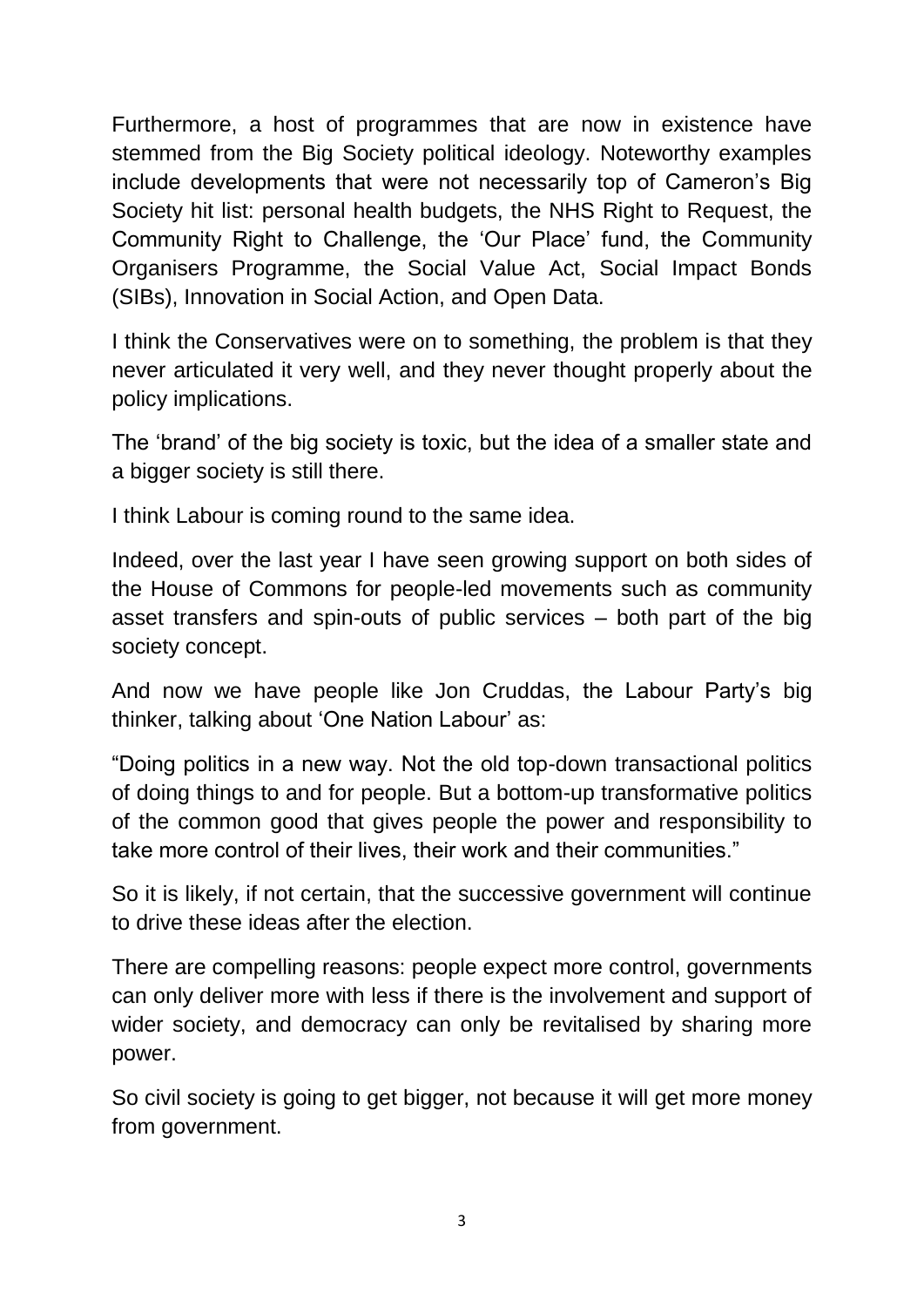Furthermore, a host of programmes that are now in existence have stemmed from the Big Society political ideology. Noteworthy examples include developments that were not necessarily top of Cameron's Big Society hit list: personal health budgets, the NHS Right to Request, the Community Right to Challenge, the 'Our Place' fund, the Community Organisers Programme, the Social Value Act, Social Impact Bonds (SIBs), Innovation in Social Action, and Open Data.

I think the Conservatives were on to something, the problem is that they never articulated it very well, and they never thought properly about the policy implications.

The 'brand' of the big society is toxic, but the idea of a smaller state and a bigger society is still there.

I think Labour is coming round to the same idea.

Indeed, over the last year I have seen growing support on both sides of the House of Commons for people-led movements such as community asset transfers and spin-outs of public services – both part of the big society concept.

And now we have people like Jon Cruddas, the Labour Party's big thinker, talking about 'One Nation Labour' as:

"Doing politics in a new way. Not the old top-down transactional politics of doing things to and for people. But a bottom-up transformative politics of the common good that gives people the power and responsibility to take more control of their lives, their work and their communities."

So it is likely, if not certain, that the successive government will continue to drive these ideas after the election.

There are compelling reasons: people expect more control, governments can only deliver more with less if there is the involvement and support of wider society, and democracy can only be revitalised by sharing more power.

So civil society is going to get bigger, not because it will get more money from government.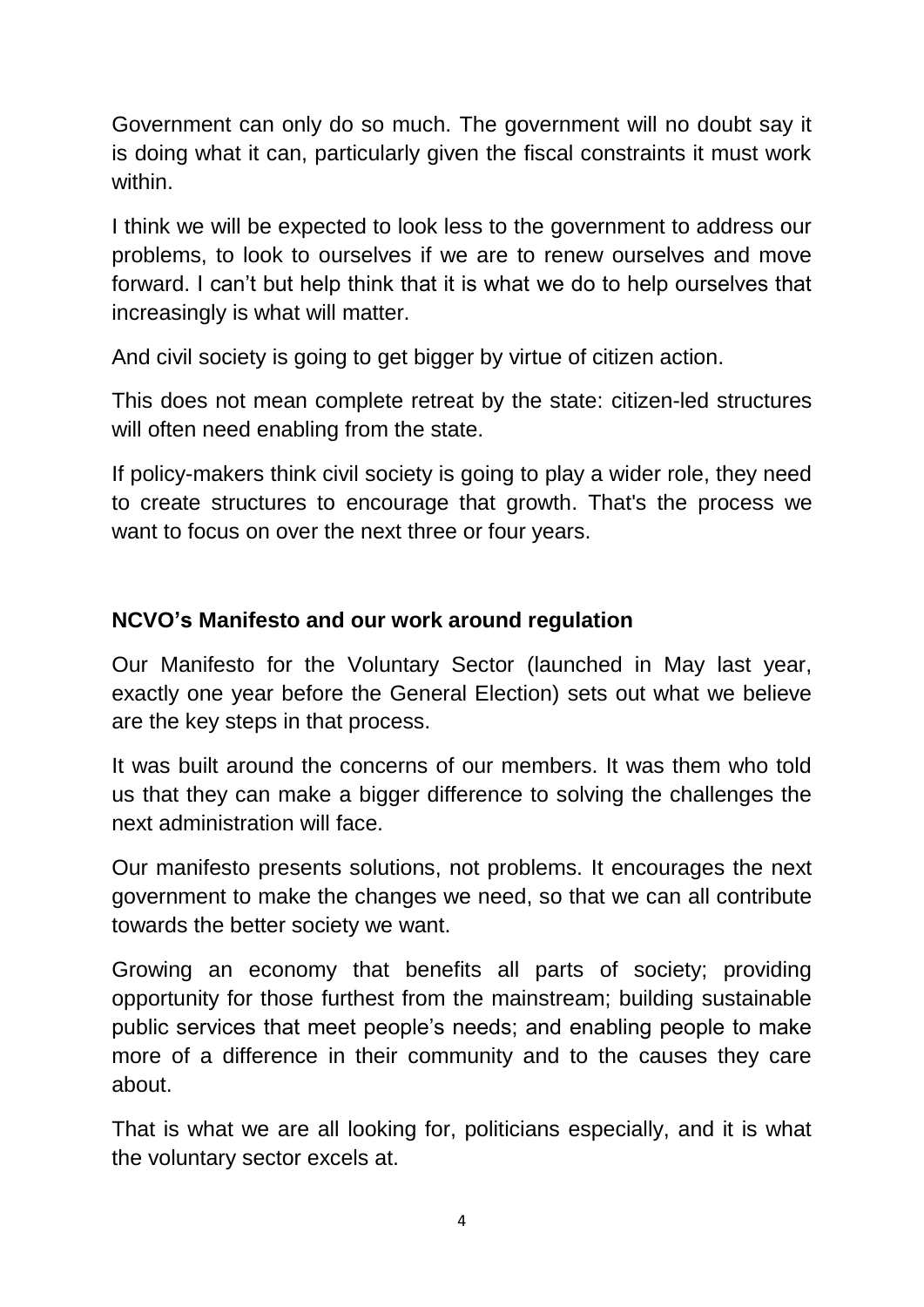Government can only do so much. The government will no doubt say it is doing what it can, particularly given the fiscal constraints it must work within.

I think we will be expected to look less to the government to address our problems, to look to ourselves if we are to renew ourselves and move forward. I can't but help think that it is what we do to help ourselves that increasingly is what will matter.

And civil society is going to get bigger by virtue of citizen action.

This does not mean complete retreat by the state: citizen-led structures will often need enabling from the state.

If policy-makers think civil society is going to play a wider role, they need to create structures to encourage that growth. That's the process we want to focus on over the next three or four years.

## **NCVO's Manifesto and our work around regulation**

Our Manifesto for the Voluntary Sector (launched in May last year, exactly one year before the General Election) sets out what we believe are the key steps in that process.

It was built around the concerns of our members. It was them who told us that they can make a bigger difference to solving the challenges the next administration will face.

Our manifesto presents solutions, not problems. It encourages the next government to make the changes we need, so that we can all contribute towards the better society we want.

Growing an economy that benefits all parts of society; providing opportunity for those furthest from the mainstream; building sustainable public services that meet people's needs; and enabling people to make more of a difference in their community and to the causes they care about.

That is what we are all looking for, politicians especially, and it is what the voluntary sector excels at.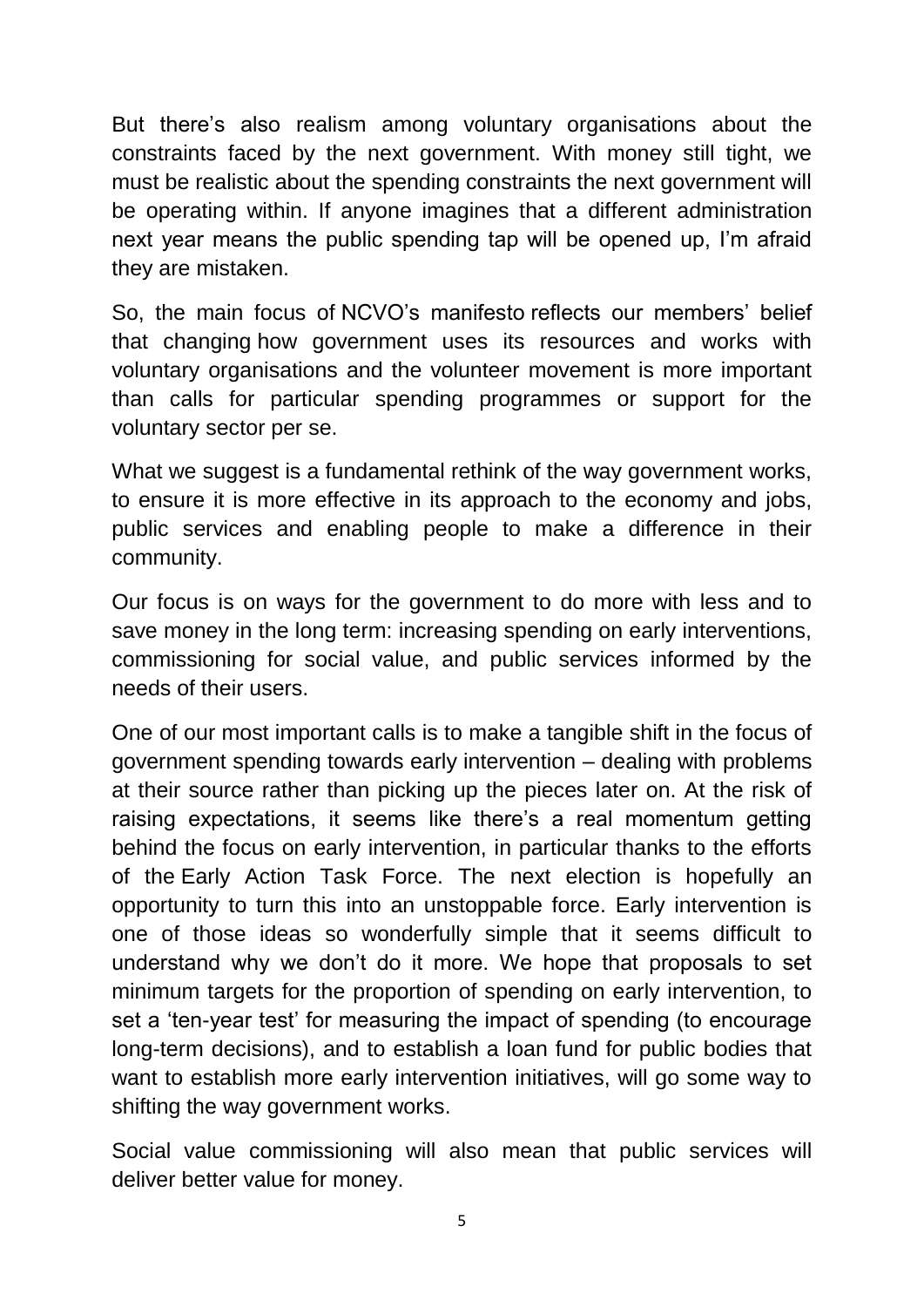But there's also realism among voluntary organisations about the constraints faced by the next government. With money still tight, we must be realistic about the spending constraints the next government will be operating within. If anyone imagines that a different administration next year means the public spending tap will be opened up, I'm afraid they are mistaken.

So, the main focus of NCVO's manifesto reflects our members' belief that changing how government uses its resources and works with voluntary organisations and the volunteer movement is more important than calls for particular spending programmes or support for the voluntary sector per se.

What we suggest is a fundamental rethink of the way government works, to ensure it is more effective in its approach to the economy and jobs, public services and enabling people to make a difference in their community.

Our focus is on ways for the government to do more with less and to save money in the long term: increasing spending on early interventions, commissioning for social value, and public services informed by the needs of their users.

One of our most important calls is to make a tangible shift in the focus of government spending towards early intervention – dealing with problems at their source rather than picking up the pieces later on. At the risk of raising expectations, it seems like there's a real momentum getting behind the focus on early intervention, in particular thanks to the efforts of the Early Action Task Force. The next election is hopefully an opportunity to turn this into an unstoppable force. Early intervention is one of those ideas so wonderfully simple that it seems difficult to understand why we don't do it more. We hope that proposals to set minimum targets for the proportion of spending on early intervention, to set a 'ten-year test' for measuring the impact of spending (to encourage long-term decisions), and to establish a loan fund for public bodies that want to establish more early intervention initiatives, will go some way to shifting the way government works.

Social value commissioning will also mean that public services will deliver better value for money.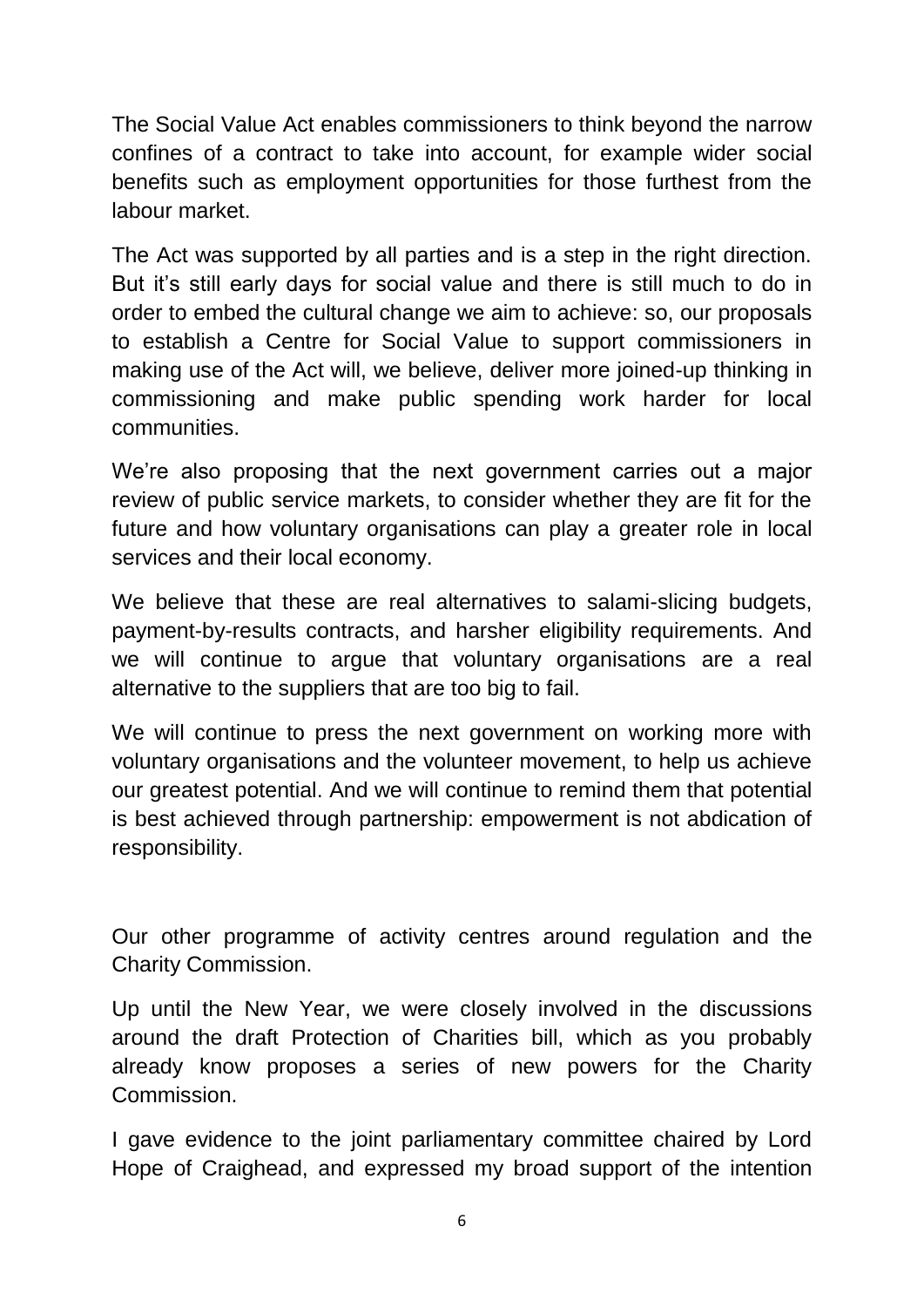The Social Value Act enables commissioners to think beyond the narrow confines of a contract to take into account, for example wider social benefits such as employment opportunities for those furthest from the labour market.

The Act was supported by all parties and is a step in the right direction. But it's still early days for social value and there is still much to do in order to embed the cultural change we aim to achieve: so, our proposals to establish a Centre for Social Value to support commissioners in making use of the Act will, we believe, deliver more joined-up thinking in commissioning and make public spending work harder for local communities.

We're also proposing that the next government carries out a major review of public service markets, to consider whether they are fit for the future and how voluntary organisations can play a greater role in local services and their local economy.

We believe that these are real alternatives to salami-slicing budgets, payment-by-results contracts, and harsher eligibility requirements. And we will continue to argue that voluntary organisations are a real alternative to the suppliers that are too big to fail.

We will continue to press the next government on working more with voluntary organisations and the volunteer movement, to help us achieve our greatest potential. And we will continue to remind them that potential is best achieved through partnership: empowerment is not abdication of responsibility.

Our other programme of activity centres around regulation and the Charity Commission.

Up until the New Year, we were closely involved in the discussions around the draft Protection of Charities bill, which as you probably already know proposes a series of new powers for the Charity Commission.

I gave evidence to the joint parliamentary committee chaired by Lord Hope of Craighead, and expressed my broad support of the intention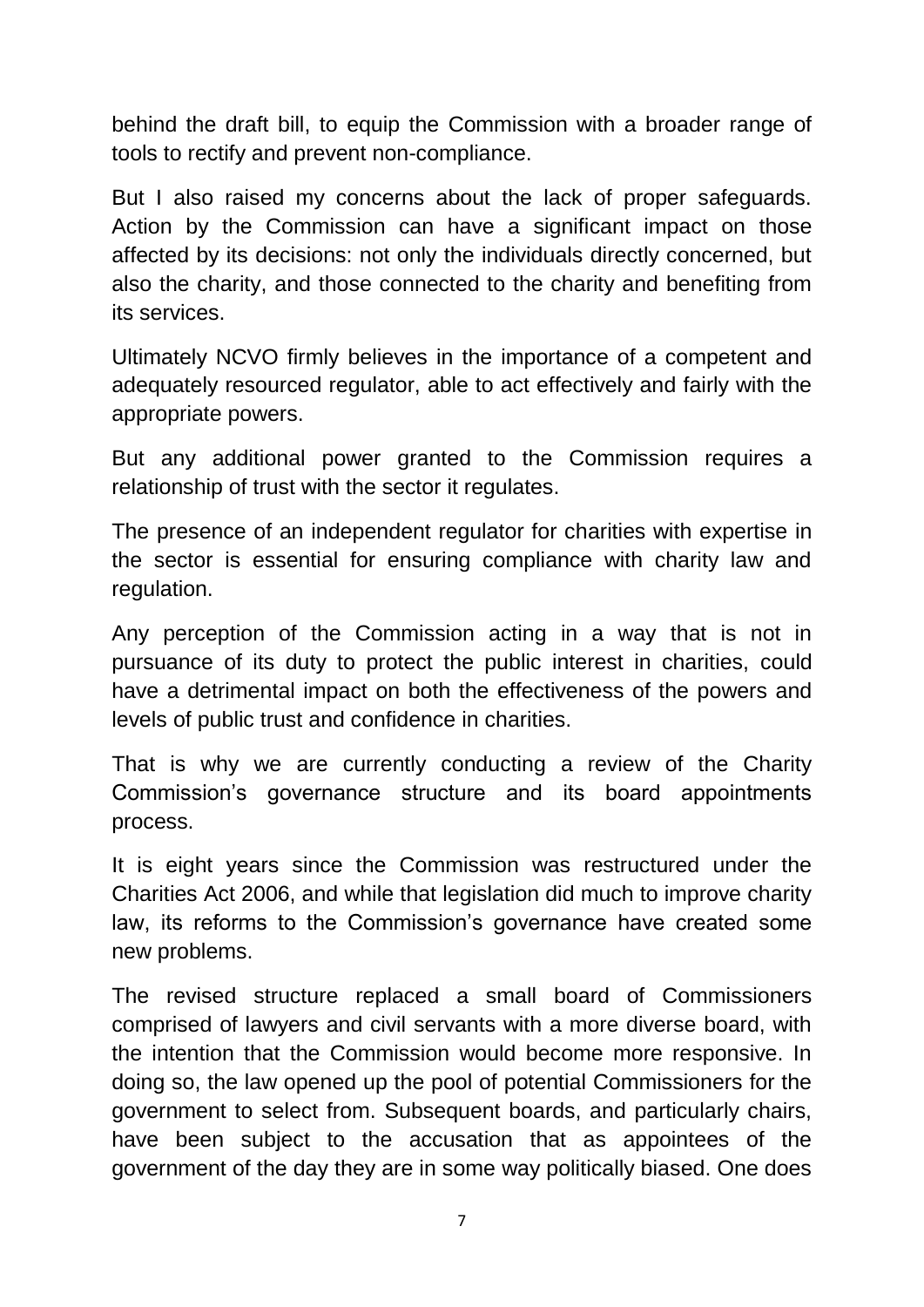behind the draft bill, to equip the Commission with a broader range of tools to rectify and prevent non-compliance.

But I also raised my concerns about the lack of proper safeguards. Action by the Commission can have a significant impact on those affected by its decisions: not only the individuals directly concerned, but also the charity, and those connected to the charity and benefiting from its services.

Ultimately NCVO firmly believes in the importance of a competent and adequately resourced regulator, able to act effectively and fairly with the appropriate powers.

But any additional power granted to the Commission requires a relationship of trust with the sector it regulates.

The presence of an independent regulator for charities with expertise in the sector is essential for ensuring compliance with charity law and regulation.

Any perception of the Commission acting in a way that is not in pursuance of its duty to protect the public interest in charities, could have a detrimental impact on both the effectiveness of the powers and levels of public trust and confidence in charities.

That is why we are currently conducting a review of the Charity Commission's governance structure and its board appointments process.

It is eight years since the Commission was restructured under the Charities Act 2006, and while that legislation did much to improve charity law, its reforms to the Commission's governance have created some new problems.

The revised structure replaced a small board of Commissioners comprised of lawyers and civil servants with a more diverse board, with the intention that the Commission would become more responsive. In doing so, the law opened up the pool of potential Commissioners for the government to select from. Subsequent boards, and particularly chairs, have been subject to the accusation that as appointees of the government of the day they are in some way politically biased. One does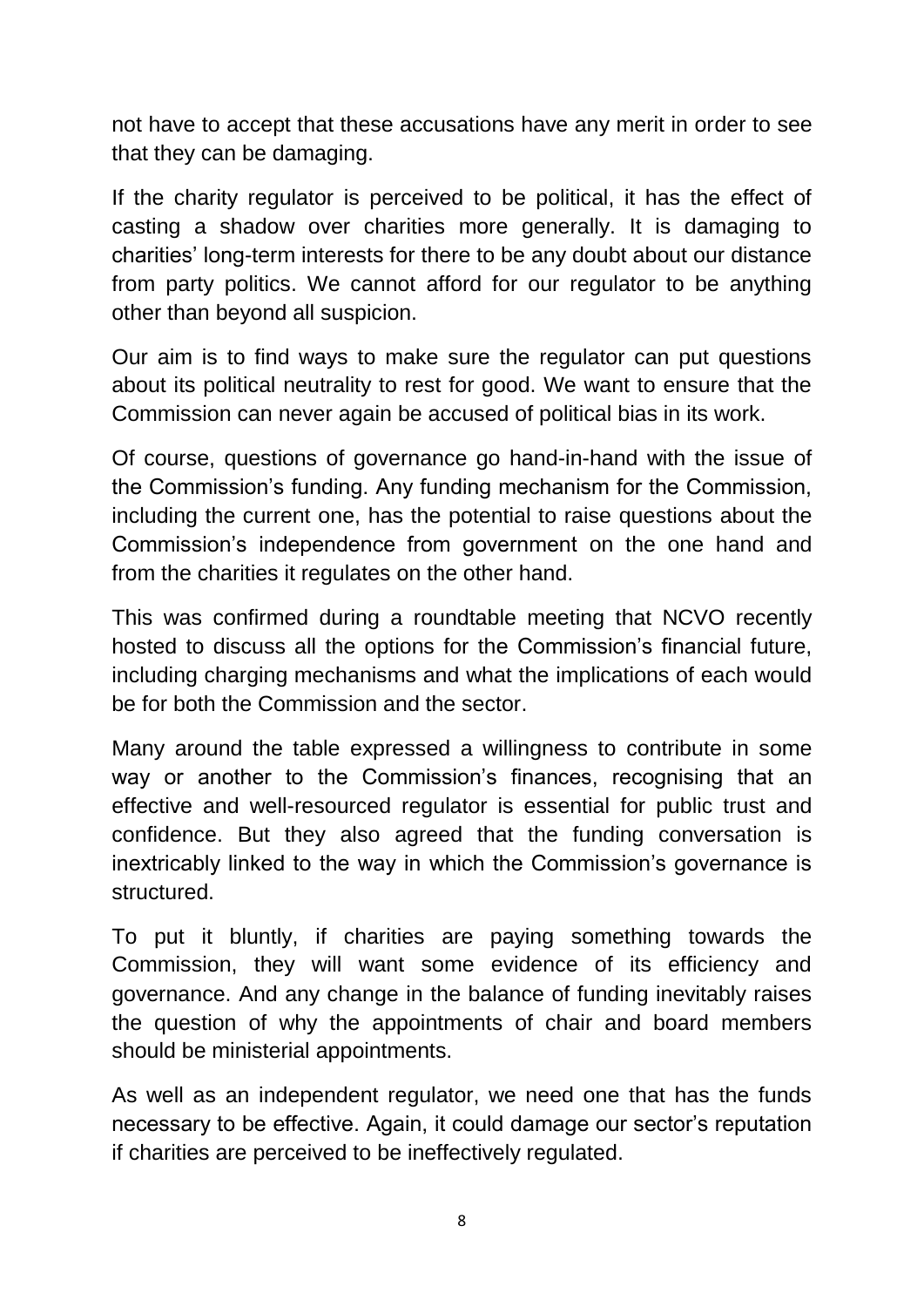not have to accept that these accusations have any merit in order to see that they can be damaging.

If the charity regulator is perceived to be political, it has the effect of casting a shadow over charities more generally. It is damaging to charities' long-term interests for there to be any doubt about our distance from party politics. We cannot afford for our regulator to be anything other than beyond all suspicion.

Our aim is to find ways to make sure the regulator can put questions about its political neutrality to rest for good. We want to ensure that the Commission can never again be accused of political bias in its work.

Of course, questions of governance go hand-in-hand with the issue of the Commission's funding. Any funding mechanism for the Commission, including the current one, has the potential to raise questions about the Commission's independence from government on the one hand and from the charities it regulates on the other hand.

This was confirmed during a roundtable meeting that NCVO recently hosted to discuss all the options for the Commission's financial future, including charging mechanisms and what the implications of each would be for both the Commission and the sector.

Many around the table expressed a willingness to contribute in some way or another to the Commission's finances, recognising that an effective and well-resourced regulator is essential for public trust and confidence. But they also agreed that the funding conversation is inextricably linked to the way in which the Commission's governance is structured.

To put it bluntly, if charities are paying something towards the Commission, they will want some evidence of its efficiency and governance. And any change in the balance of funding inevitably raises the question of why the appointments of chair and board members should be ministerial appointments.

As well as an independent regulator, we need one that has the funds necessary to be effective. Again, it could damage our sector's reputation if charities are perceived to be ineffectively regulated.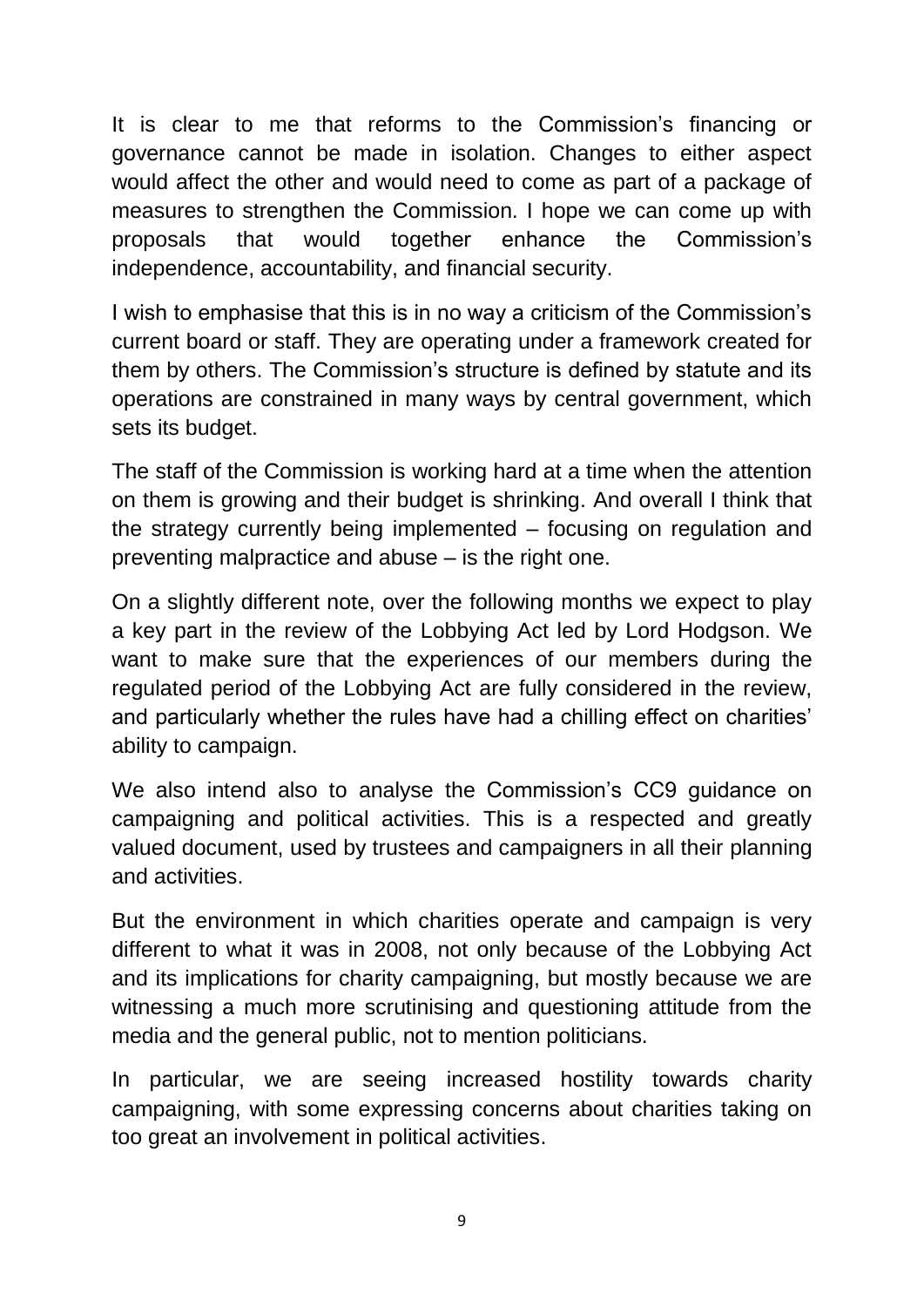It is clear to me that reforms to the Commission's financing or governance cannot be made in isolation. Changes to either aspect would affect the other and would need to come as part of a package of measures to strengthen the Commission. I hope we can come up with proposals that would together enhance the Commission's independence, accountability, and financial security.

I wish to emphasise that this is in no way a criticism of the Commission's current board or staff. They are operating under a framework created for them by others. The Commission's structure is defined by statute and its operations are constrained in many ways by central government, which sets its budget.

The staff of the Commission is working hard at a time when the attention on them is growing and their budget is shrinking. And overall I think that the strategy currently being implemented – focusing on regulation and preventing malpractice and abuse – is the right one.

On a slightly different note, over the following months we expect to play a key part in the review of the Lobbying Act led by Lord Hodgson. We want to make sure that the experiences of our members during the regulated period of the Lobbying Act are fully considered in the review, and particularly whether the rules have had a chilling effect on charities' ability to campaign.

We also intend also to analyse the Commission's CC9 guidance on campaigning and political activities. This is a respected and greatly valued document, used by trustees and campaigners in all their planning and activities.

But the environment in which charities operate and campaign is very different to what it was in 2008, not only because of the Lobbying Act and its implications for charity campaigning, but mostly because we are witnessing a much more scrutinising and questioning attitude from the media and the general public, not to mention politicians.

In particular, we are seeing increased hostility towards charity campaigning, with some expressing concerns about charities taking on too great an involvement in political activities.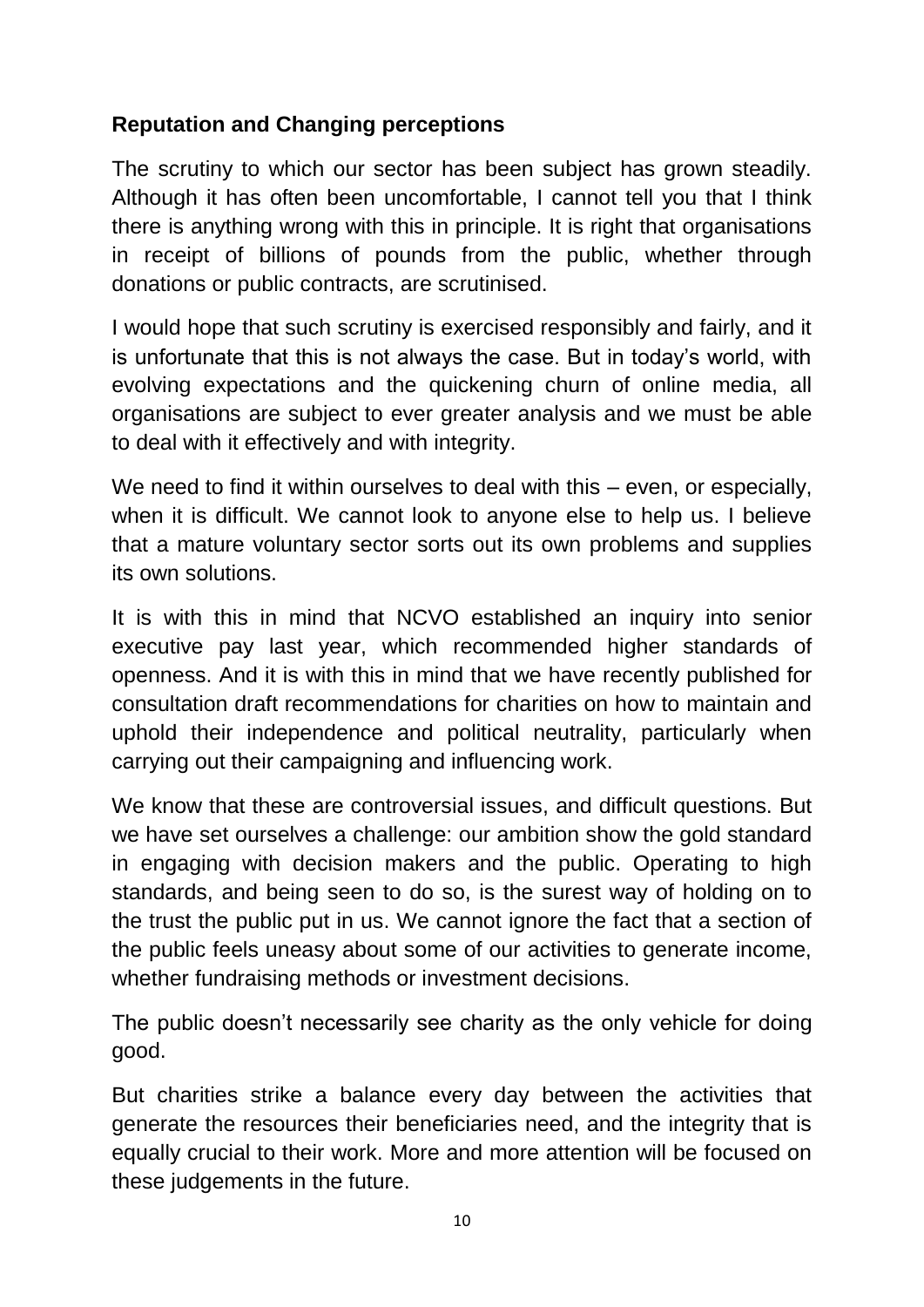## **Reputation and Changing perceptions**

The scrutiny to which our sector has been subject has grown steadily. Although it has often been uncomfortable, I cannot tell you that I think there is anything wrong with this in principle. It is right that organisations in receipt of billions of pounds from the public, whether through donations or public contracts, are scrutinised.

I would hope that such scrutiny is exercised responsibly and fairly, and it is unfortunate that this is not always the case. But in today's world, with evolving expectations and the quickening churn of online media, all organisations are subject to ever greater analysis and we must be able to deal with it effectively and with integrity.

We need to find it within ourselves to deal with this – even, or especially, when it is difficult. We cannot look to anyone else to help us. I believe that a mature voluntary sector sorts out its own problems and supplies its own solutions.

It is with this in mind that NCVO established an inquiry into senior executive pay last year, which recommended higher standards of openness. And it is with this in mind that we have recently published for consultation draft recommendations for charities on how to maintain and uphold their independence and political neutrality, particularly when carrying out their campaigning and influencing work.

We know that these are controversial issues, and difficult questions. But we have set ourselves a challenge: our ambition show the gold standard in engaging with decision makers and the public. Operating to high standards, and being seen to do so, is the surest way of holding on to the trust the public put in us. We cannot ignore the fact that a section of the public feels uneasy about some of our activities to generate income, whether fundraising methods or investment decisions.

The public doesn't necessarily see charity as the only vehicle for doing good.

But charities strike a balance every day between the activities that generate the resources their beneficiaries need, and the integrity that is equally crucial to their work. More and more attention will be focused on these judgements in the future.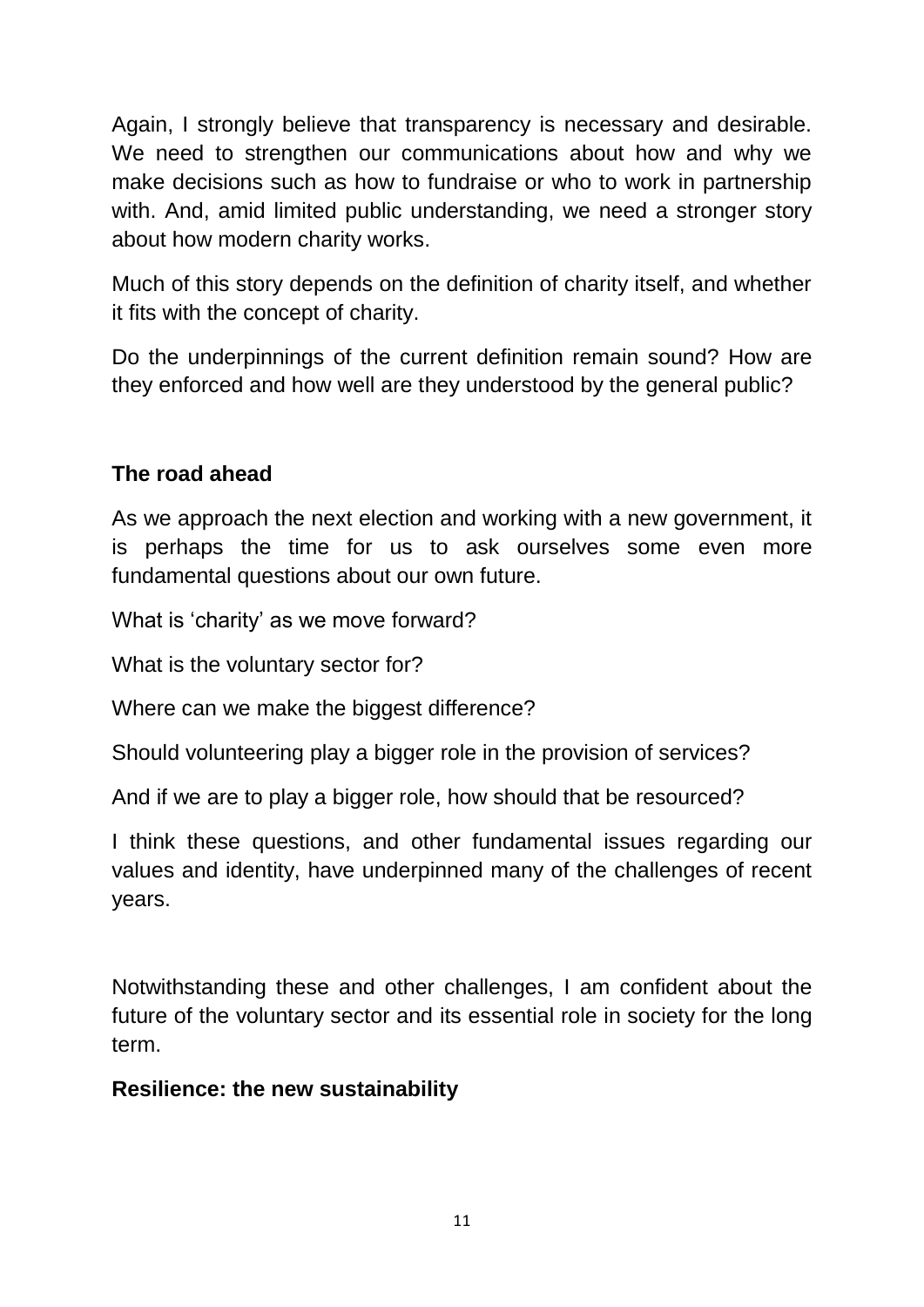Again, I strongly believe that transparency is necessary and desirable. We need to strengthen our communications about how and why we make decisions such as how to fundraise or who to work in partnership with. And, amid limited public understanding, we need a stronger story about how modern charity works.

Much of this story depends on the definition of charity itself, and whether it fits with the concept of charity.

Do the underpinnings of the current definition remain sound? How are they enforced and how well are they understood by the general public?

## **The road ahead**

As we approach the next election and working with a new government, it is perhaps the time for us to ask ourselves some even more fundamental questions about our own future.

What is 'charity' as we move forward?

What is the voluntary sector for?

Where can we make the biggest difference?

Should volunteering play a bigger role in the provision of services?

And if we are to play a bigger role, how should that be resourced?

I think these questions, and other fundamental issues regarding our values and identity, have underpinned many of the challenges of recent years.

Notwithstanding these and other challenges, I am confident about the future of the voluntary sector and its essential role in society for the long term.

#### **Resilience: the new sustainability**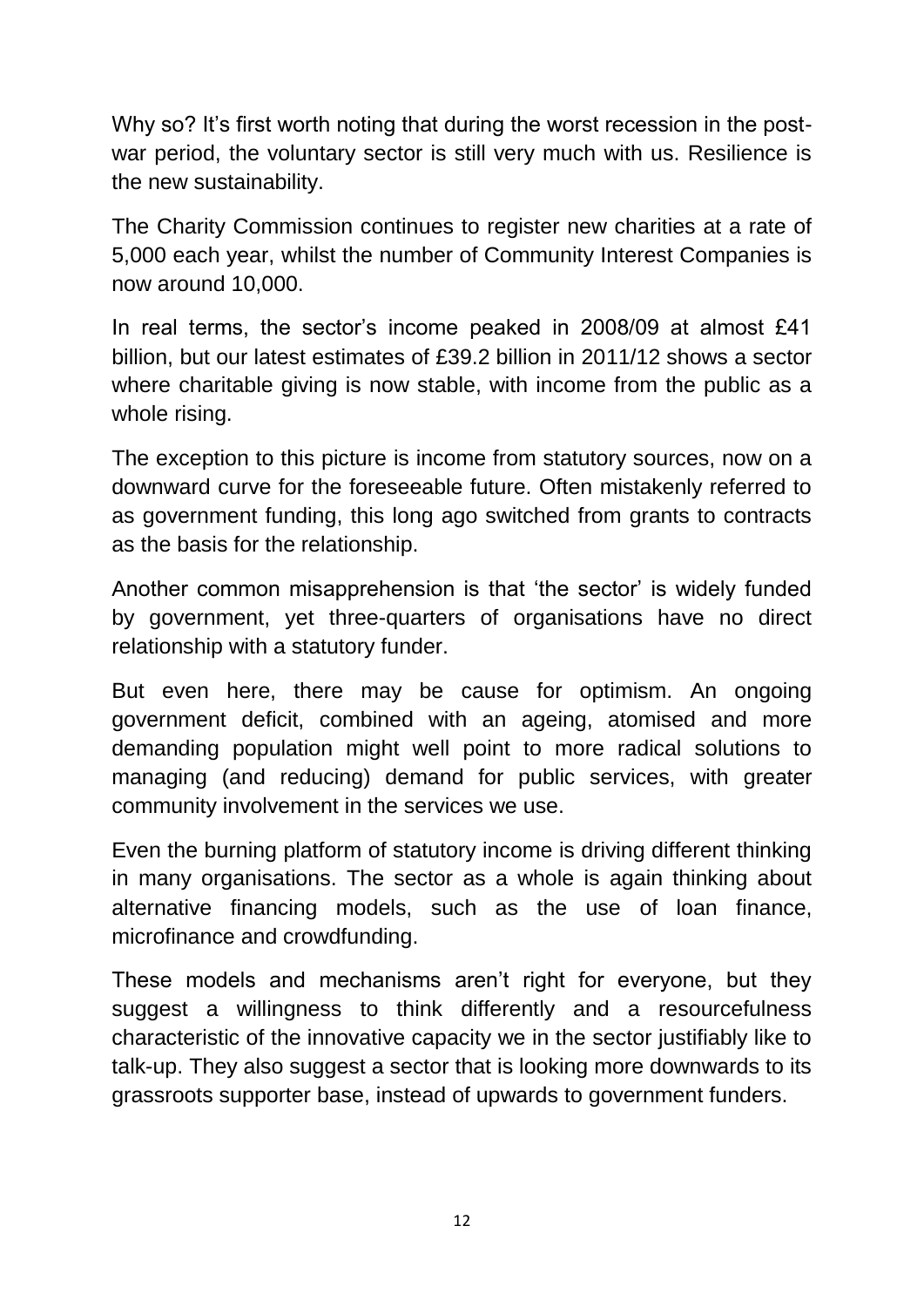Why so? It's first worth noting that during the worst recession in the postwar period, the voluntary sector is still very much with us. Resilience is the new sustainability.

The Charity Commission continues to register new charities at a rate of 5,000 each year, whilst the number of Community Interest Companies is now around 10,000.

In real terms, the sector's income peaked in 2008/09 at almost £41 billion, but our latest estimates of £39.2 billion in 2011/12 shows a sector where charitable giving is now stable, with income from the public as a whole rising.

The exception to this picture is income from statutory sources, now on a downward curve for the foreseeable future. Often mistakenly referred to as government funding, this long ago switched from grants to contracts as the basis for the relationship.

Another common misapprehension is that 'the sector' is widely funded by government, yet three-quarters of organisations have no direct relationship with a statutory funder.

But even here, there may be cause for optimism. An ongoing government deficit, combined with an ageing, atomised and more demanding population might well point to more radical solutions to managing (and reducing) demand for public services, with greater community involvement in the services we use.

Even the burning platform of statutory income is driving different thinking in many organisations. The sector as a whole is again thinking about alternative financing models, such as the use of loan finance, microfinance and crowdfunding.

These models and mechanisms aren't right for everyone, but they suggest a willingness to think differently and a resourcefulness characteristic of the innovative capacity we in the sector justifiably like to talk-up. They also suggest a sector that is looking more downwards to its grassroots supporter base, instead of upwards to government funders.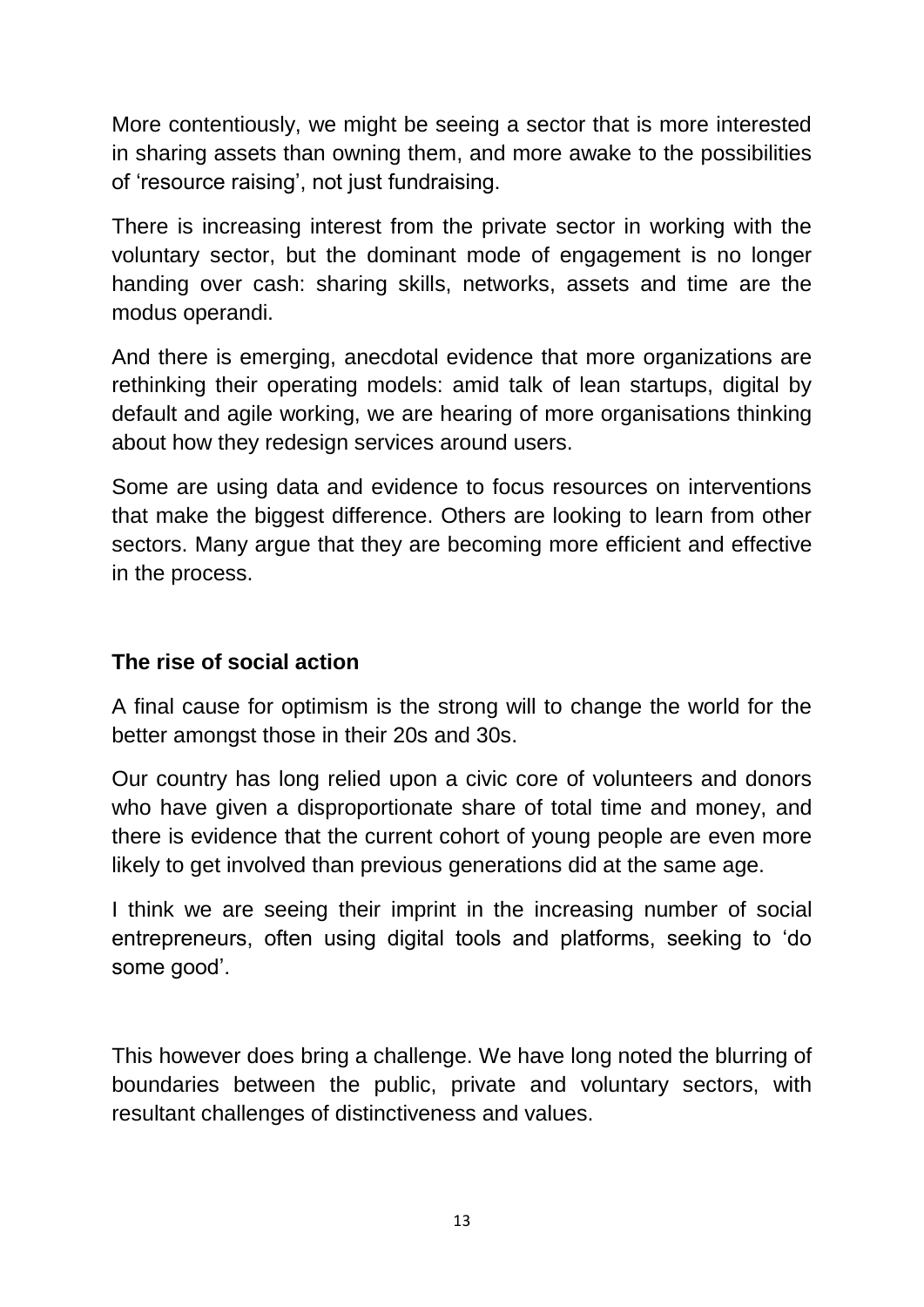More contentiously, we might be seeing a sector that is more interested in sharing assets than owning them, and more awake to the possibilities of 'resource raising', not just fundraising.

There is increasing interest from the private sector in working with the voluntary sector, but the dominant mode of engagement is no longer handing over cash: sharing skills, networks, assets and time are the modus operandi.

And there is emerging, anecdotal evidence that more organizations are rethinking their operating models: amid talk of lean startups, digital by default and agile working, we are hearing of more organisations thinking about how they redesign services around users.

Some are using data and evidence to focus resources on interventions that make the biggest difference. Others are looking to learn from other sectors. Many argue that they are becoming more efficient and effective in the process.

## **The rise of social action**

A final cause for optimism is the strong will to change the world for the better amongst those in their 20s and 30s.

Our country has long relied upon a civic core of volunteers and donors who have given a disproportionate share of total time and money, and there is evidence that the current cohort of young people are even more likely to get involved than previous generations did at the same age.

I think we are seeing their imprint in the increasing number of social entrepreneurs, often using digital tools and platforms, seeking to 'do some good'.

This however does bring a challenge. We have long noted the blurring of boundaries between the public, private and voluntary sectors, with resultant challenges of distinctiveness and values.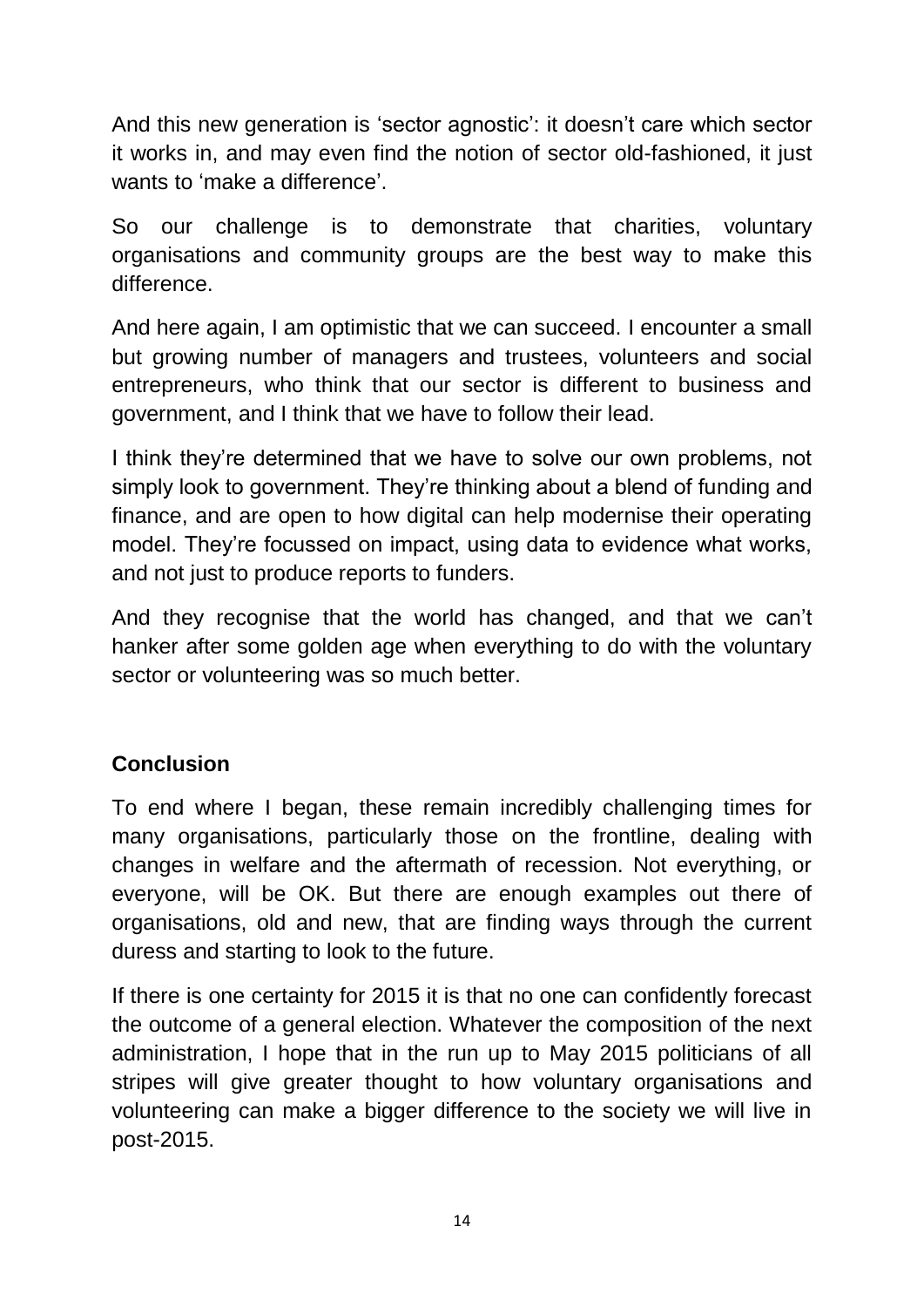And this new generation is 'sector agnostic': it doesn't care which sector it works in, and may even find the notion of sector old-fashioned, it just wants to 'make a difference'.

So our challenge is to demonstrate that charities, voluntary organisations and community groups are the best way to make this difference.

And here again, I am optimistic that we can succeed. I encounter a small but growing number of managers and trustees, volunteers and social entrepreneurs, who think that our sector is different to business and government, and I think that we have to follow their lead.

I think they're determined that we have to solve our own problems, not simply look to government. They're thinking about a blend of funding and finance, and are open to how digital can help modernise their operating model. They're focussed on impact, using data to evidence what works, and not just to produce reports to funders.

And they recognise that the world has changed, and that we can't hanker after some golden age when everything to do with the voluntary sector or volunteering was so much better.

# **Conclusion**

To end where I began, these remain incredibly challenging times for many organisations, particularly those on the frontline, dealing with changes in welfare and the aftermath of recession. Not everything, or everyone, will be OK. But there are enough examples out there of organisations, old and new, that are finding ways through the current duress and starting to look to the future.

If there is one certainty for 2015 it is that no one can confidently forecast the outcome of a general election. Whatever the composition of the next administration, I hope that in the run up to May 2015 politicians of all stripes will give greater thought to how voluntary organisations and volunteering can make a bigger difference to the society we will live in post-2015.